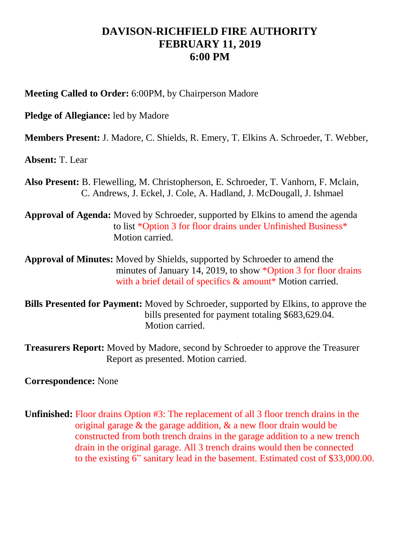## **DAVISON-RICHFIELD FIRE AUTHORITY FEBRUARY 11, 2019 6:00 PM**

**Meeting Called to Order:** 6:00PM, by Chairperson Madore

**Pledge of Allegiance:** led by Madore

**Members Present:** J. Madore, C. Shields, R. Emery, T. Elkins A. Schroeder, T. Webber,

**Absent:** T. Lear

**Also Present:** B. Flewelling, M. Christopherson, E. Schroeder, T. Vanhorn, F. Mclain, C. Andrews, J. Eckel, J. Cole, A. Hadland, J. McDougall, J. Ishmael

**Approval of Agenda:** Moved by Schroeder, supported by Elkins to amend the agenda to list \*Option 3 for floor drains under Unfinished Business\* Motion carried.

**Approval of Minutes:** Moved by Shields, supported by Schroeder to amend the minutes of January 14, 2019, to show \*Option 3 for floor drains with a brief detail of specifics & amount\* Motion carried.

**Bills Presented for Payment:** Moved by Schroeder, supported by Elkins, to approve the bills presented for payment totaling \$683,629.04. Motion carried.

**Treasurers Report:** Moved by Madore, second by Schroeder to approve the Treasurer Report as presented. Motion carried.

**Correspondence:** None

**Unfinished:** Floor drains Option #3: The replacement of all 3 floor trench drains in the original garage & the garage addition, & a new floor drain would be constructed from both trench drains in the garage addition to a new trench drain in the original garage. All 3 trench drains would then be connected to the existing 6" sanitary lead in the basement. Estimated cost of \$33,000.00.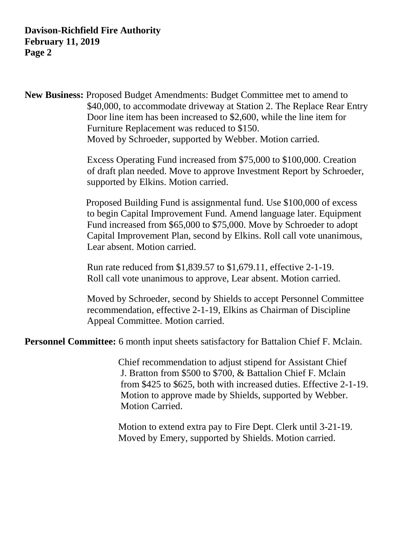**New Business:** Proposed Budget Amendments: Budget Committee met to amend to \$40,000, to accommodate driveway at Station 2. The Replace Rear Entry Door line item has been increased to \$2,600, while the line item for Furniture Replacement was reduced to \$150. Moved by Schroeder, supported by Webber. Motion carried.

> Excess Operating Fund increased from \$75,000 to \$100,000. Creation of draft plan needed. Move to approve Investment Report by Schroeder, supported by Elkins. Motion carried.

> Proposed Building Fund is assignmental fund. Use \$100,000 of excess to begin Capital Improvement Fund. Amend language later. Equipment Fund increased from \$65,000 to \$75,000. Move by Schroeder to adopt Capital Improvement Plan, second by Elkins. Roll call vote unanimous, Lear absent. Motion carried.

 Run rate reduced from \$1,839.57 to \$1,679.11, effective 2-1-19. Roll call vote unanimous to approve, Lear absent. Motion carried.

 Moved by Schroeder, second by Shields to accept Personnel Committee recommendation, effective 2-1-19, Elkins as Chairman of Discipline Appeal Committee. Motion carried.

**Personnel Committee:** 6 month input sheets satisfactory for Battalion Chief F. Mclain.

 Chief recommendation to adjust stipend for Assistant Chief J. Bratton from \$500 to \$700, & Battalion Chief F. Mclain from \$425 to \$625, both with increased duties. Effective 2-1-19. Motion to approve made by Shields, supported by Webber. Motion Carried.

 Motion to extend extra pay to Fire Dept. Clerk until 3-21-19. Moved by Emery, supported by Shields. Motion carried.